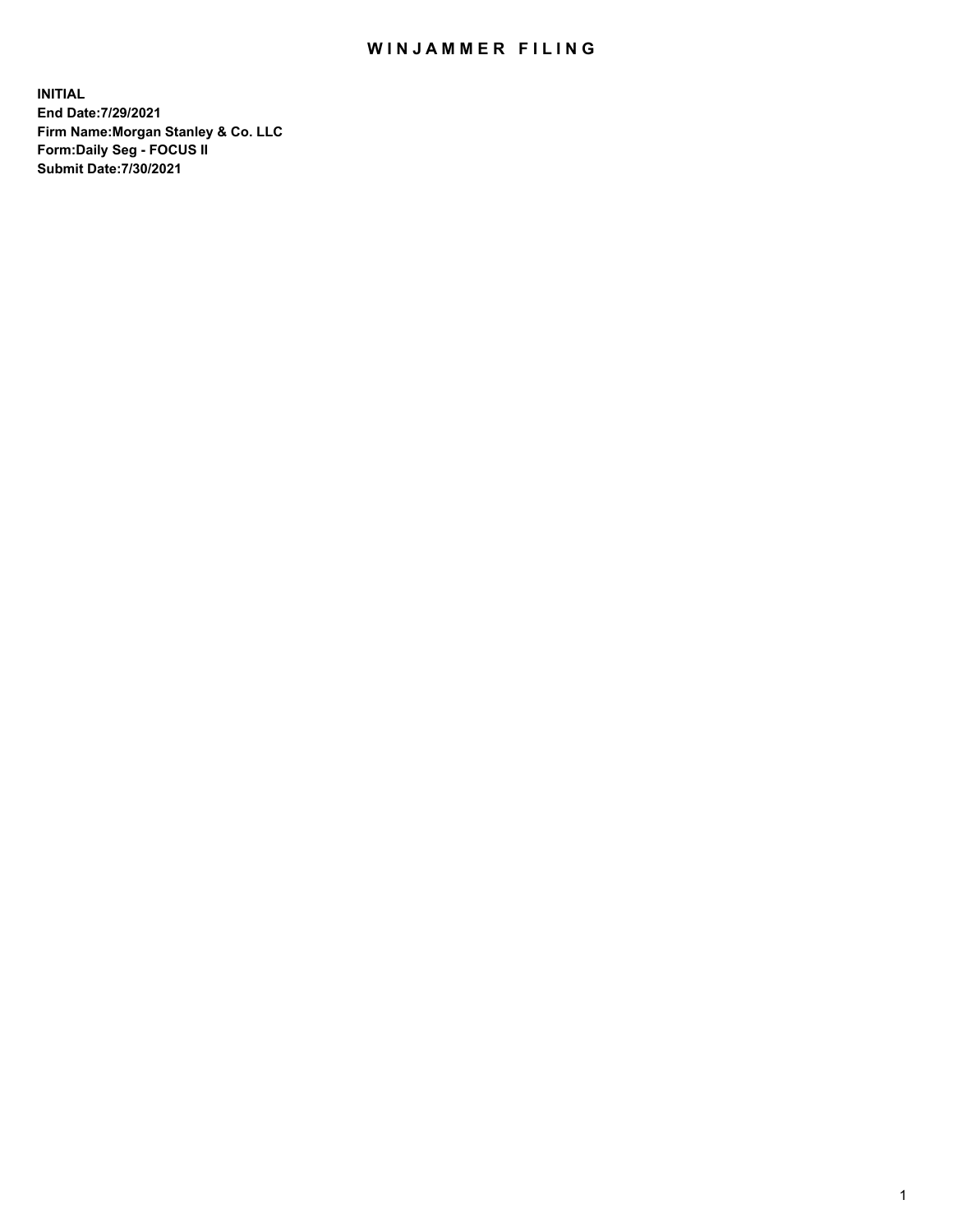## WIN JAMMER FILING

**INITIAL End Date:7/29/2021 Firm Name:Morgan Stanley & Co. LLC Form:Daily Seg - FOCUS II Submit Date:7/30/2021**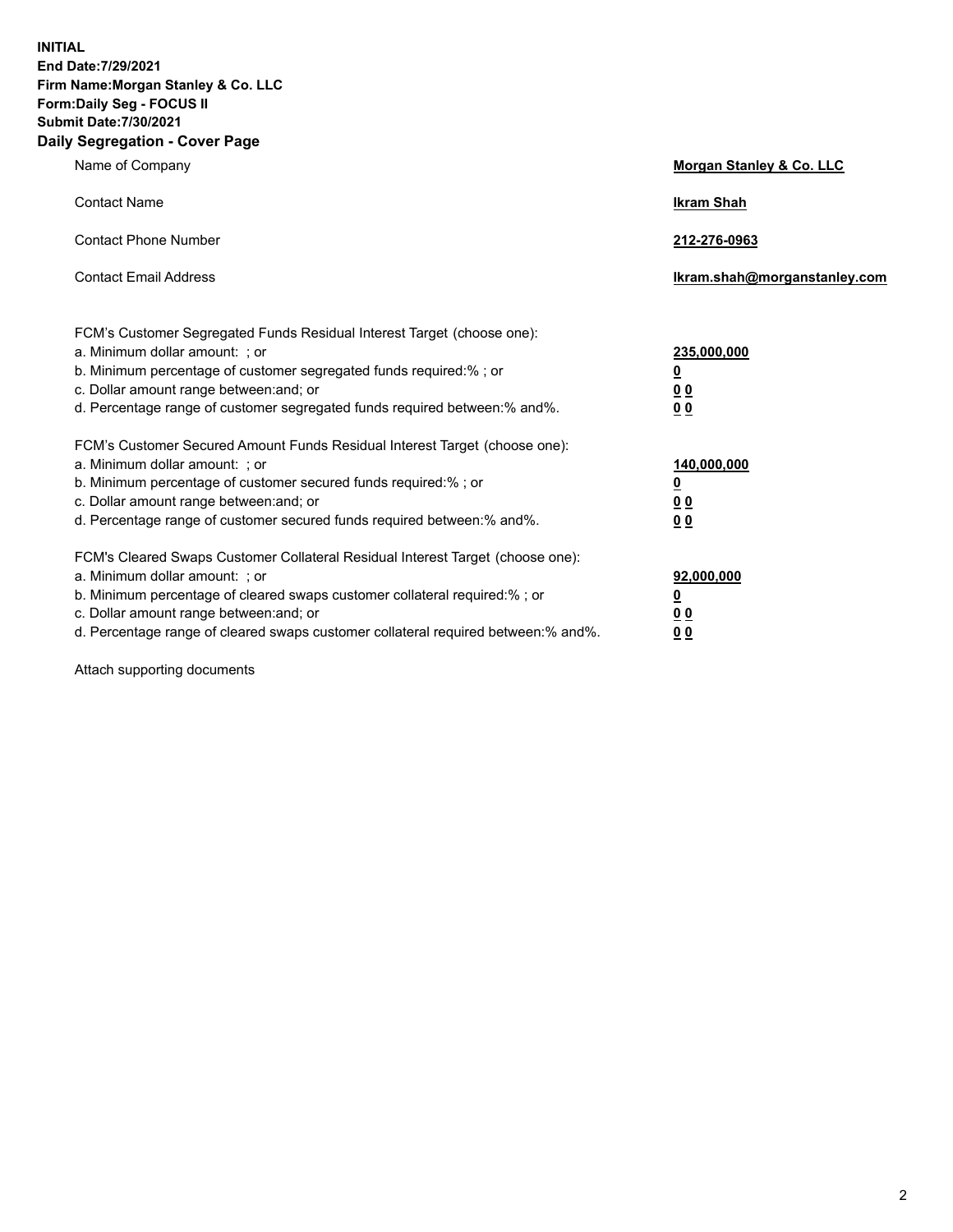**INITIAL End Date:7/29/2021 Firm Name:Morgan Stanley & Co. LLC Form:Daily Seg - FOCUS II Submit Date:7/30/2021 Daily Segregation - Cover Page**

| Name of Company                                                                                                                                                                                                                                                                                                                | Morgan Stanley & Co. LLC                               |
|--------------------------------------------------------------------------------------------------------------------------------------------------------------------------------------------------------------------------------------------------------------------------------------------------------------------------------|--------------------------------------------------------|
| <b>Contact Name</b>                                                                                                                                                                                                                                                                                                            | <b>Ikram Shah</b>                                      |
| <b>Contact Phone Number</b>                                                                                                                                                                                                                                                                                                    | 212-276-0963                                           |
| <b>Contact Email Address</b>                                                                                                                                                                                                                                                                                                   | Ikram.shah@morganstanley.com                           |
| FCM's Customer Segregated Funds Residual Interest Target (choose one):<br>a. Minimum dollar amount: ; or<br>b. Minimum percentage of customer segregated funds required:% ; or<br>c. Dollar amount range between: and; or<br>d. Percentage range of customer segregated funds required between:% and%.                         | 235,000,000<br><u>0</u><br>0 <sup>0</sup><br><u>00</u> |
| FCM's Customer Secured Amount Funds Residual Interest Target (choose one):<br>a. Minimum dollar amount: ; or<br>b. Minimum percentage of customer secured funds required:% ; or<br>c. Dollar amount range between: and; or<br>d. Percentage range of customer secured funds required between:% and%.                           | 140,000,000<br><u>0</u><br><u>00</u><br>00             |
| FCM's Cleared Swaps Customer Collateral Residual Interest Target (choose one):<br>a. Minimum dollar amount: ; or<br>b. Minimum percentage of cleared swaps customer collateral required:% ; or<br>c. Dollar amount range between: and; or<br>d. Percentage range of cleared swaps customer collateral required between:% and%. | 92,000,000<br><u>0</u><br><u>00</u><br>00              |

Attach supporting documents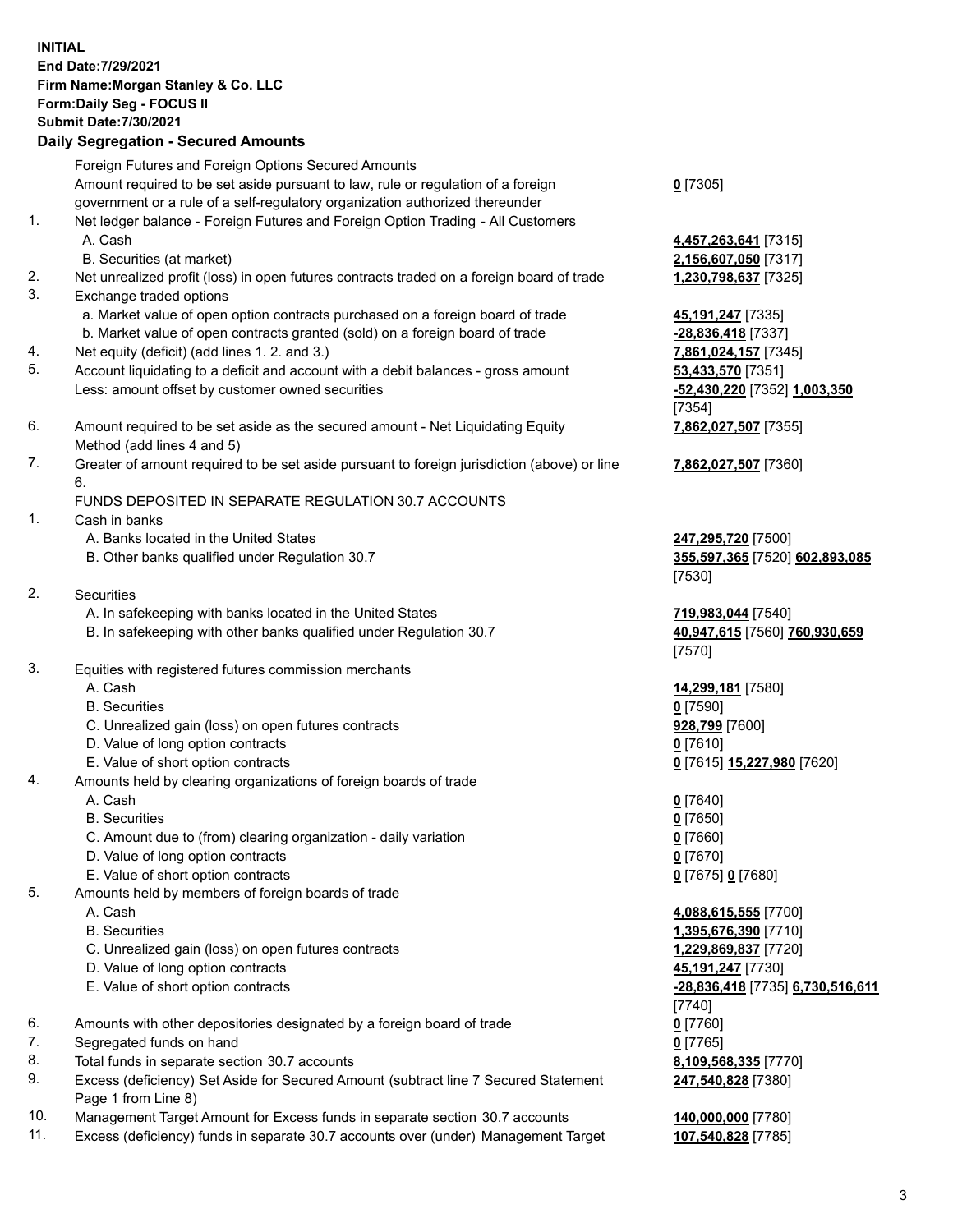## **INITIAL End Date:7/29/2021 Firm Name:Morgan Stanley & Co. LLC Form:Daily Seg - FOCUS II Submit Date:7/30/2021 Daily Segregation - Secured Amounts**

Foreign Futures and Foreign Options Secured Amounts Amount required to be set aside pursuant to law, rule or regulation of a foreign government or a rule of a self-regulatory organization authorized thereunder 1. Net ledger balance - Foreign Futures and Foreign Option Trading - All Customers A. Cash **4,457,263,641** [7315] B. Securities (at market) **2,156,607,050** [7317] 2. Net unrealized profit (loss) in open futures contracts traded on a foreign board of trade **1,230,798,637** [7325] 3. Exchange traded options a. Market value of open option contracts purchased on a foreign board of trade **45,191,247** [7335] b. Market value of open contracts granted (sold) on a foreign board of trade **-28,836,418** [7337] 4. Net equity (deficit) (add lines 1. 2. and 3.) **7,861,024,157** [7345] 5. Account liquidating to a deficit and account with a debit balances - gross amount **53,433,570** [7351] Less: amount offset by customer owned securities **-52,430,220** [7352] **1,003,350** 6. Amount required to be set aside as the secured amount - Net Liquidating Equity Method (add lines 4 and 5) 7. Greater of amount required to be set aside pursuant to foreign jurisdiction (above) or line 6. FUNDS DEPOSITED IN SEPARATE REGULATION 30.7 ACCOUNTS 1. Cash in banks A. Banks located in the United States **247,295,720** [7500] B. Other banks qualified under Regulation 30.7 **355,597,365** [7520] **602,893,085** 2. Securities A. In safekeeping with banks located in the United States **719,983,044** [7540] B. In safekeeping with other banks qualified under Regulation 30.7 **40,947,615** [7560] **760,930,659** 3. Equities with registered futures commission merchants A. Cash **14,299,181** [7580] B. Securities **0** [7590] C. Unrealized gain (loss) on open futures contracts **928,799** [7600] D. Value of long option contracts **0** [7610] E. Value of short option contracts **0** [7615] **15,227,980** [7620] 4. Amounts held by clearing organizations of foreign boards of trade A. Cash **0** [7640] B. Securities **0** [7650] C. Amount due to (from) clearing organization - daily variation **0** [7660] D. Value of long option contracts **0** [7670] E. Value of short option contracts **0** [7675] **0** [7680] 5. Amounts held by members of foreign boards of trade A. Cash **4,088,615,555** [7700] B. Securities **1,395,676,390** [7710] C. Unrealized gain (loss) on open futures contracts **1,229,869,837** [7720] D. Value of long option contracts **45,191,247** [7730] E. Value of short option contracts **-28,836,418** [7735] **6,730,516,611**

- 6. Amounts with other depositories designated by a foreign board of trade **0** [7760]
- 7. Segregated funds on hand **0** [7765]
- 8. Total funds in separate section 30.7 accounts **8,109,568,335** [7770]
- 9. Excess (deficiency) Set Aside for Secured Amount (subtract line 7 Secured Statement Page 1 from Line 8)
- 10. Management Target Amount for Excess funds in separate section 30.7 accounts **140,000,000** [7780]
- 11. Excess (deficiency) funds in separate 30.7 accounts over (under) Management Target **107,540,828** [7785]

[7354] **7,862,027,507** [7355] **7,862,027,507** [7360]

**0** [7305]

[7530]

[7570]

[7740] **247,540,828** [7380]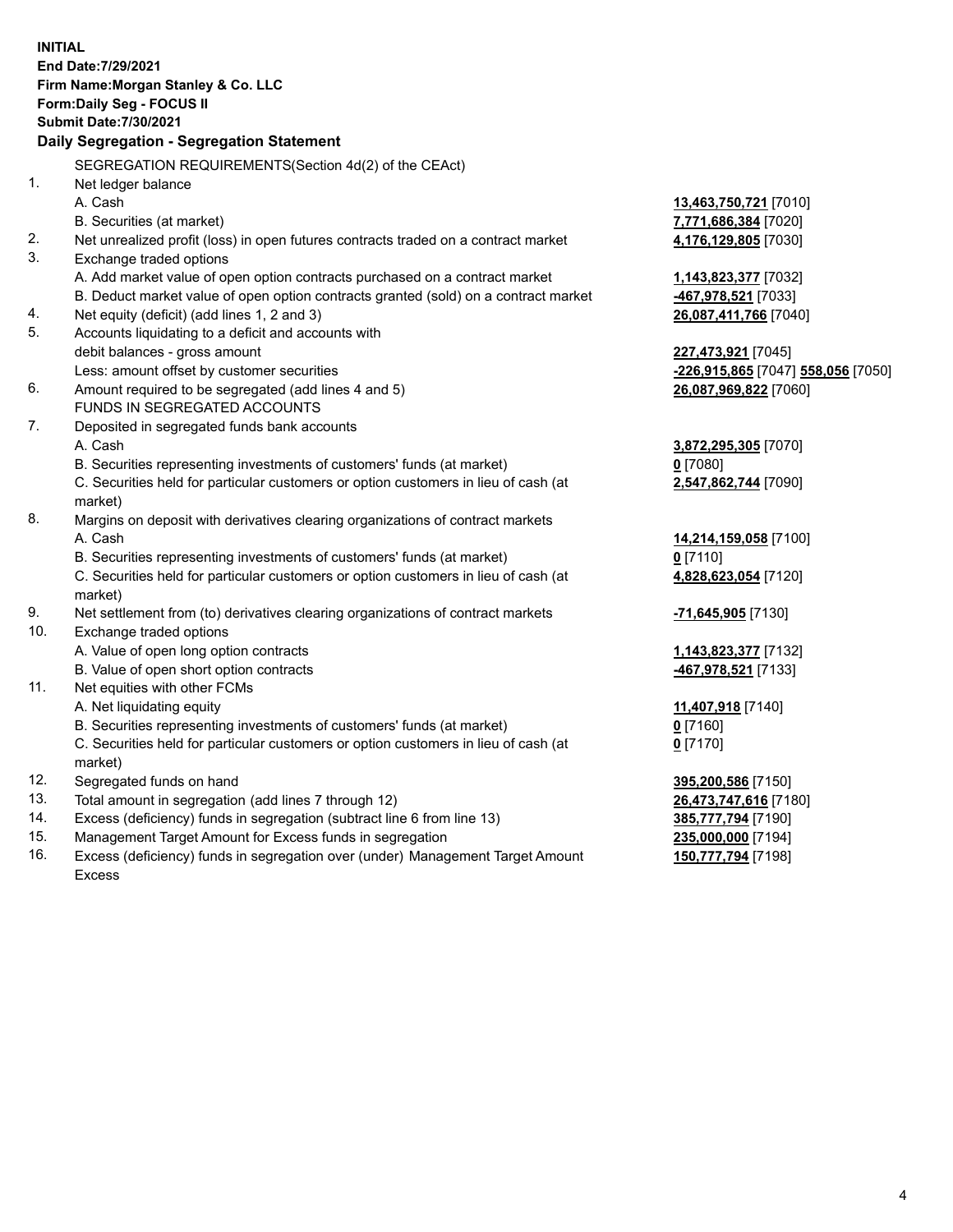**INITIAL End Date:7/29/2021 Firm Name:Morgan Stanley & Co. LLC Form:Daily Seg - FOCUS II Submit Date:7/30/2021 Daily Segregation - Segregation Statement** SEGREGATION REQUIREMENTS(Section 4d(2) of the CEAct) 1. Net ledger balance A. Cash **13,463,750,721** [7010] B. Securities (at market) **7,771,686,384** [7020] 2. Net unrealized profit (loss) in open futures contracts traded on a contract market **4,176,129,805** [7030] 3. Exchange traded options A. Add market value of open option contracts purchased on a contract market **1,143,823,377** [7032] B. Deduct market value of open option contracts granted (sold) on a contract market **-467,978,521** [7033] 4. Net equity (deficit) (add lines 1, 2 and 3) **26,087,411,766** [7040] 5. Accounts liquidating to a deficit and accounts with debit balances - gross amount **227,473,921** [7045] Less: amount offset by customer securities **-226,915,865** [7047] **558,056** [7050] 6. Amount required to be segregated (add lines 4 and 5) **26,087,969,822** [7060] FUNDS IN SEGREGATED ACCOUNTS 7. Deposited in segregated funds bank accounts A. Cash **3,872,295,305** [7070] B. Securities representing investments of customers' funds (at market) **0** [7080] C. Securities held for particular customers or option customers in lieu of cash (at market) **2,547,862,744** [7090] 8. Margins on deposit with derivatives clearing organizations of contract markets A. Cash **14,214,159,058** [7100] B. Securities representing investments of customers' funds (at market) **0** [7110] C. Securities held for particular customers or option customers in lieu of cash (at market) **4,828,623,054** [7120] 9. Net settlement from (to) derivatives clearing organizations of contract markets **-71,645,905** [7130] 10. Exchange traded options A. Value of open long option contracts **1,143,823,377** [7132] B. Value of open short option contracts **-467,978,521** [7133] 11. Net equities with other FCMs A. Net liquidating equity **11,407,918** [7140] B. Securities representing investments of customers' funds (at market) **0** [7160] C. Securities held for particular customers or option customers in lieu of cash (at market) **0** [7170] 12. Segregated funds on hand **395,200,586** [7150] 13. Total amount in segregation (add lines 7 through 12) **26,473,747,616** [7180] 14. Excess (deficiency) funds in segregation (subtract line 6 from line 13) **385,777,794** [7190] 15. Management Target Amount for Excess funds in segregation **235,000,000** [7194]

16. Excess (deficiency) funds in segregation over (under) Management Target Amount Excess

**150,777,794** [7198]